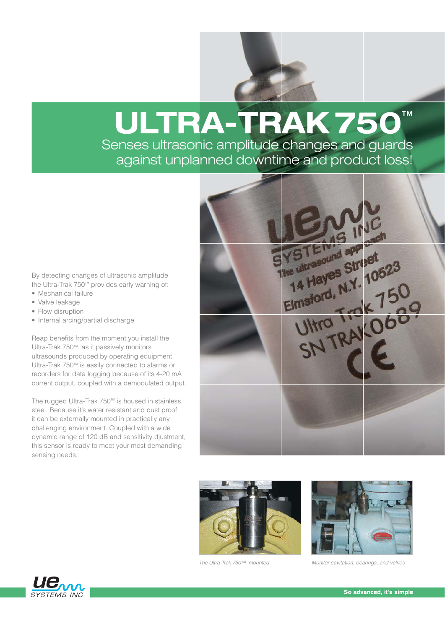# **ULTRA-TRAK 750**™

Senses ultrasonic amplitude changes and guards against unplanned downtime and product loss!

By detecting changes of ultrasonic amplitude the Ultra-Trak 750™ provides early warning of:

- Mechanical failure
- Valve leakage
- Flow disruption
- Internal arcing/partial discharge

Reap benefits from the moment you install the Ultra-Trak 750™, as it passively monitors ultrasounds produced by operating equipment. Ultra-Trak 750™ is easily connected to alarms or recorders for data logging because of its 4-20 mA current output, coupled with a demodulated output.

The rugged Ultra-Trak 750™ is housed in stainless steel. Because it's water resistant and dust proof, it can be externally mounted in practically any challenging environment. Coupled with a wide dynamic range of 120 dB and sensitivity djustment, this sensor is ready to meet your most demanding sensing needs.







The Ultra-Trak 750™ mounted Monitor cavitation, bearings, and valves